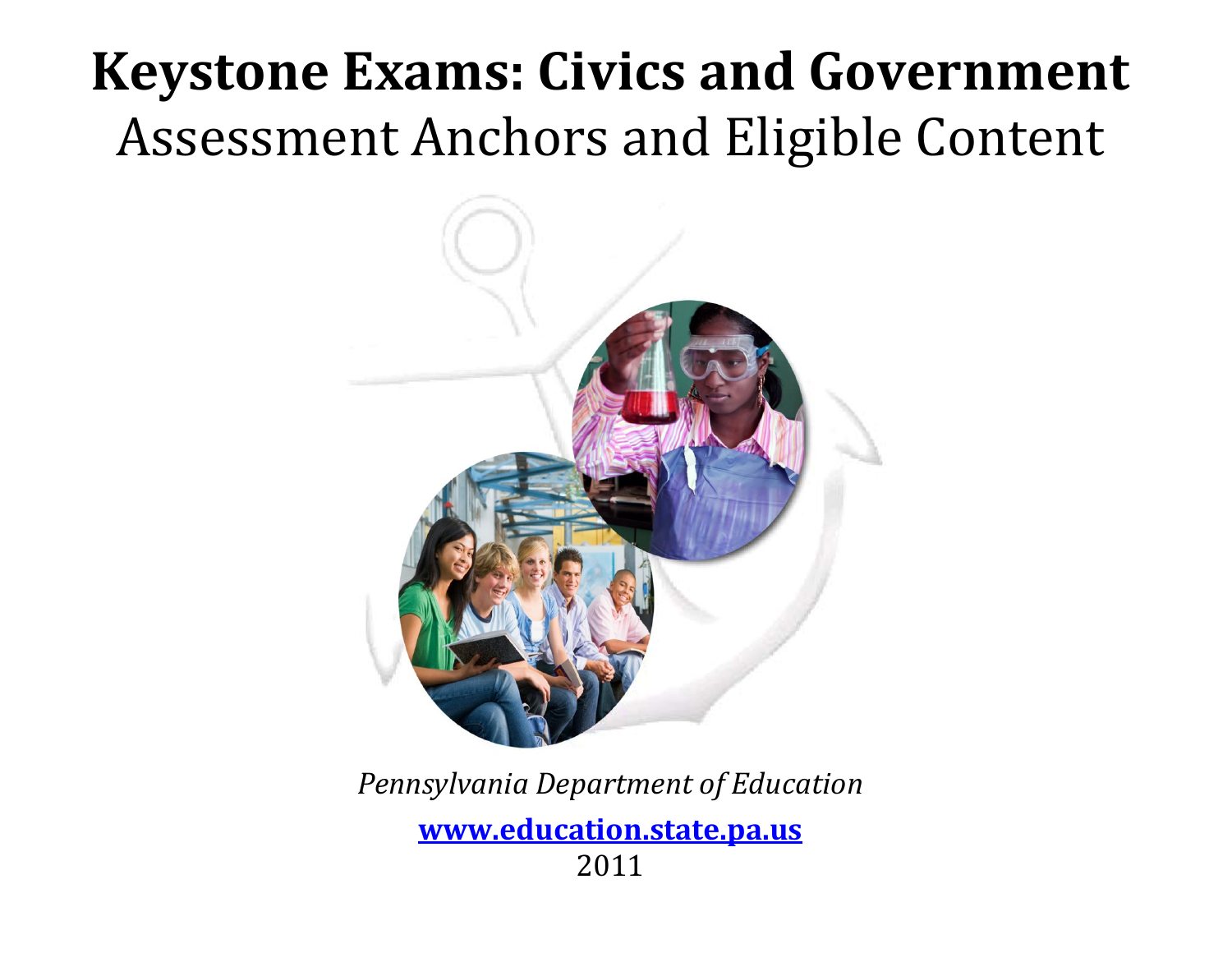# **Keystone Exams: Civics and Government** Assessment Anchors and Eligible Content



*Pennsylvania Department of Education*

**[www.education.state.pa.us](http://www.education.state.pa.us/)** 2011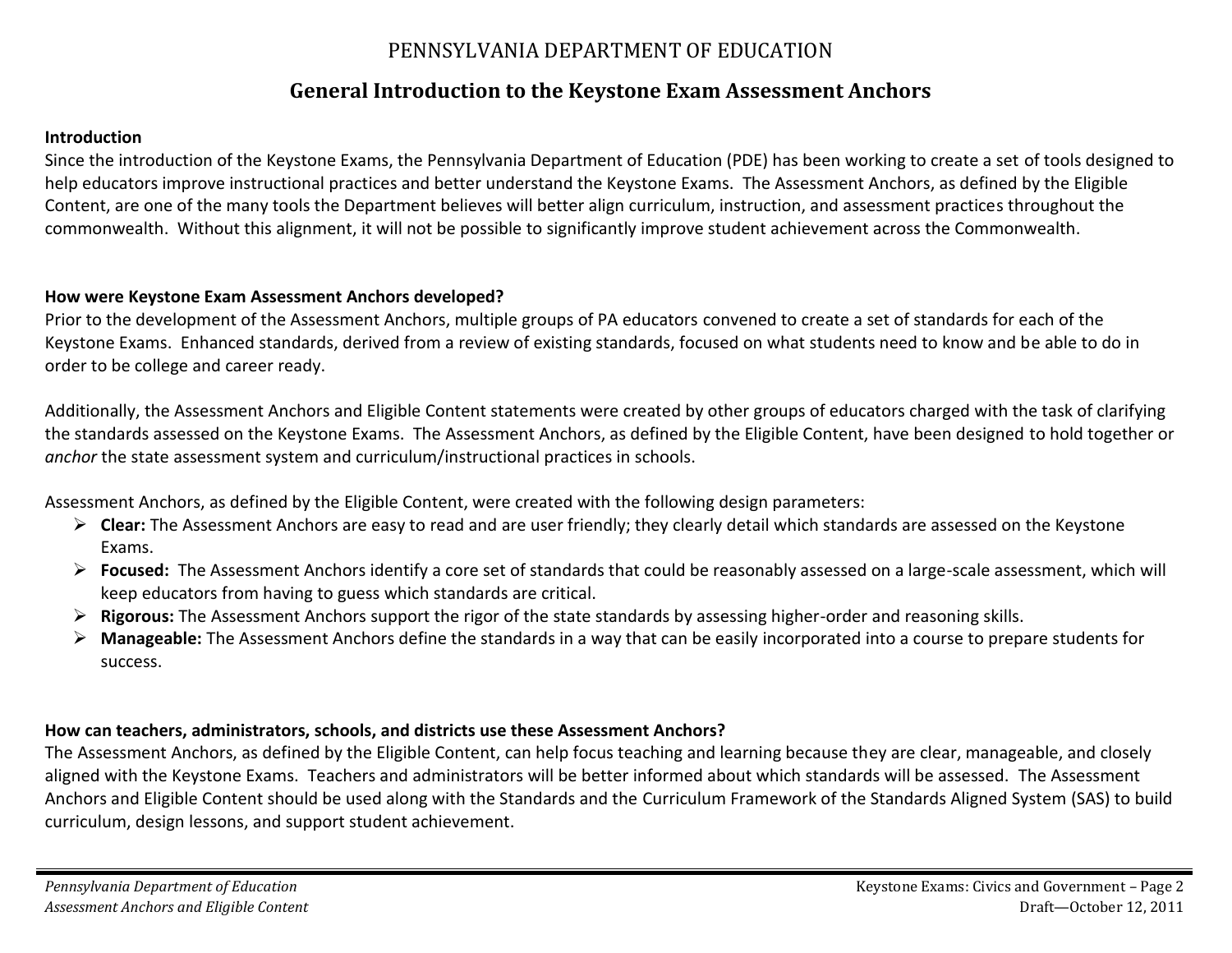#### PENNSYLVANIA DEPARTMENT OF EDUCATION

#### **General Introduction to the Keystone Exam Assessment Anchors**

#### **Introduction**

Since the introduction of the Keystone Exams, the Pennsylvania Department of Education (PDE) has been working to create a set of tools designed to help educators improve instructional practices and better understand the Keystone Exams. The Assessment Anchors, as defined by the Eligible Content, are one of the many tools the Department believes will better align curriculum, instruction, and assessment practices throughout the commonwealth. Without this alignment, it will not be possible to significantly improve student achievement across the Commonwealth.

#### **How were Keystone Exam Assessment Anchors developed?**

Prior to the development of the Assessment Anchors, multiple groups of PA educators convened to create a set of standards for each of the Keystone Exams. Enhanced standards, derived from a review of existing standards, focused on what students need to know and be able to do in order to be college and career ready.

Additionally, the Assessment Anchors and Eligible Content statements were created by other groups of educators charged with the task of clarifying the standards assessed on the Keystone Exams. The Assessment Anchors, as defined by the Eligible Content, have been designed to hold together or *anchor* the state assessment system and curriculum/instructional practices in schools.

Assessment Anchors, as defined by the Eligible Content, were created with the following design parameters:

- **Clear:** The Assessment Anchors are easy to read and are user friendly; they clearly detail which standards are assessed on the Keystone Exams.
- **Focused:** The Assessment Anchors identify a core set of standards that could be reasonably assessed on a large-scale assessment, which will keep educators from having to guess which standards are critical.
- **Rigorous:** The Assessment Anchors support the rigor of the state standards by assessing higher-order and reasoning skills.
- **Manageable:** The Assessment Anchors define the standards in a way that can be easily incorporated into a course to prepare students for success.

#### **How can teachers, administrators, schools, and districts use these Assessment Anchors?**

The Assessment Anchors, as defined by the Eligible Content, can help focus teaching and learning because they are clear, manageable, and closely aligned with the Keystone Exams. Teachers and administrators will be better informed about which standards will be assessed. The Assessment Anchors and Eligible Content should be used along with the Standards and the Curriculum Framework of the Standards Aligned System (SAS) to build curriculum, design lessons, and support student achievement.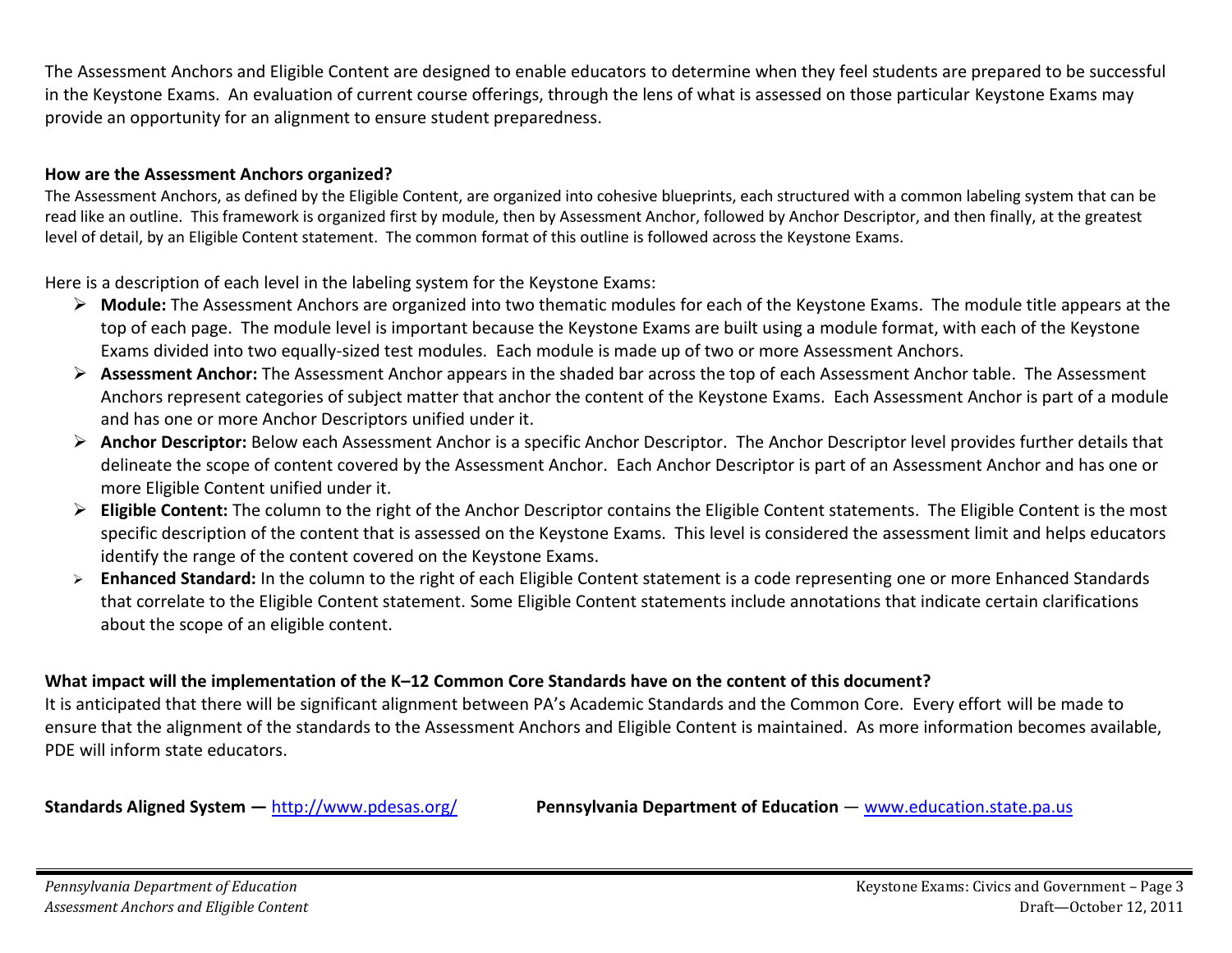The Assessment Anchors and Eligible Content are designed to enable educators to determine when they feel students are prepared to be successful in the Keystone Exams. An evaluation of current course offerings, through the lens of what is assessed on those particular Keystone Exams may provide an opportunity for an alignment to ensure student preparedness.

#### **How are the Assessment Anchors organized?**

The Assessment Anchors, as defined by the Eligible Content, are organized into cohesive blueprints, each structured with a common labeling system that can be read like an outline. This framework is organized first by module, then by Assessment Anchor, followed by Anchor Descriptor, and then finally, at the greatest level of detail, by an Eligible Content statement. The common format of this outline is followed across the Keystone Exams.

Here is a description of each level in the labeling system for the Keystone Exams:

- **Module:** The Assessment Anchors are organized into two thematic modules for each of the Keystone Exams. The module title appears at the top of each page. The module level is important because the Keystone Exams are built using a module format, with each of the Keystone Exams divided into two equally-sized test modules. Each module is made up of two or more Assessment Anchors.
- **Assessment Anchor:** The Assessment Anchor appears in the shaded bar across the top of each Assessment Anchor table. The Assessment Anchors represent categories of subject matter that anchor the content of the Keystone Exams. Each Assessment Anchor is part of a module and has one or more Anchor Descriptors unified under it.
- **Anchor Descriptor:** Below each Assessment Anchor is a specific Anchor Descriptor. The Anchor Descriptor level provides further details that delineate the scope of content covered by the Assessment Anchor. Each Anchor Descriptor is part of an Assessment Anchor and has one or more Eligible Content unified under it.
- **Eligible Content:** The column to the right of the Anchor Descriptor contains the Eligible Content statements. The Eligible Content is the most specific description of the content that is assessed on the Keystone Exams. This level is considered the assessment limit and helps educators identify the range of the content covered on the Keystone Exams.
- **Enhanced Standard:** In the column to the right of each Eligible Content statement is a code representing one or more Enhanced Standards that correlate to the Eligible Content statement. Some Eligible Content statements include annotations that indicate certain clarifications about the scope of an eligible content.

#### **What impact will the implementation of the K–12 Common Core Standards have on the content of this document?**

It is anticipated that there will be significant alignment between PA's Academic Standards and the Common Core. Every effort will be made to ensure that the alignment of the standards to the Assessment Anchors and Eligible Content is maintained. As more information becomes available, PDE will inform state educators.

**Standards Aligned System —** <http://www.pdesas.org/> **Pennsylvania Department of Education** — [www.education.state.pa.us](http://www.education.state.pa.us/)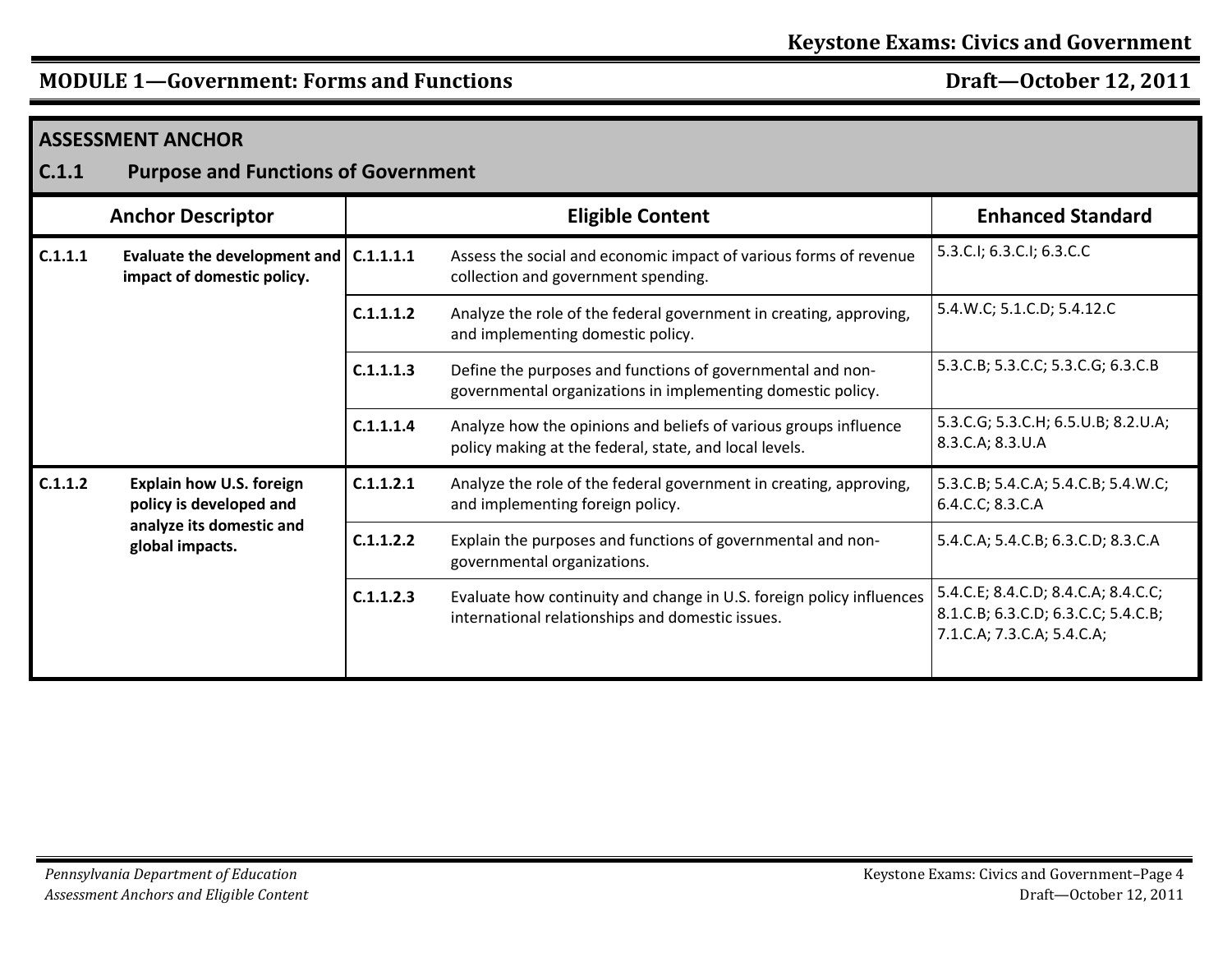| C.1.1   | <b>ASSESSMENT ANCHOR</b><br><b>Purpose and Functions of Government</b>                                    |           |                                                                                                                            |                                                                                                          |  |  |
|---------|-----------------------------------------------------------------------------------------------------------|-----------|----------------------------------------------------------------------------------------------------------------------------|----------------------------------------------------------------------------------------------------------|--|--|
|         | <b>Anchor Descriptor</b>                                                                                  |           | <b>Eligible Content</b>                                                                                                    | <b>Enhanced Standard</b>                                                                                 |  |  |
| C.1.1.1 | Evaluate the development and $ $ C.1.1.1.1<br>impact of domestic policy.                                  |           | Assess the social and economic impact of various forms of revenue<br>collection and government spending.                   | 5.3.C.I; 6.3.C.I; 6.3.C.C                                                                                |  |  |
|         |                                                                                                           | C.1.1.1.2 | Analyze the role of the federal government in creating, approving,<br>and implementing domestic policy.                    | 5.4.W.C; 5.1.C.D; 5.4.12.C                                                                               |  |  |
|         |                                                                                                           | C.1.1.1.3 | Define the purposes and functions of governmental and non-<br>governmental organizations in implementing domestic policy.  | 5.3.C.B; 5.3.C.C; 5.3.C.G; 6.3.C.B                                                                       |  |  |
|         |                                                                                                           | C.1.1.1.4 | Analyze how the opinions and beliefs of various groups influence<br>policy making at the federal, state, and local levels. | 5.3.C.G; 5.3.C.H; 6.5.U.B; 8.2.U.A;<br>8.3.C.A; 8.3.U.A                                                  |  |  |
| C.1.1.2 | <b>Explain how U.S. foreign</b><br>policy is developed and<br>analyze its domestic and<br>global impacts. | C.1.1.2.1 | Analyze the role of the federal government in creating, approving,<br>and implementing foreign policy.                     | 5.3.C.B; 5.4.C.A; 5.4.C.B; 5.4.W.C;<br>6.4.C.C; 8.3.C.A                                                  |  |  |
|         |                                                                                                           | C.1.1.2.2 | Explain the purposes and functions of governmental and non-<br>governmental organizations.                                 | 5.4.C.A; 5.4.C.B; 6.3.C.D; 8.3.C.A                                                                       |  |  |
|         |                                                                                                           | C.1.1.2.3 | Evaluate how continuity and change in U.S. foreign policy influences<br>international relationships and domestic issues.   | 5.4.C.E; 8.4.C.D; 8.4.C.A; 8.4.C.C;<br>8.1.C.B; 6.3.C.D; 6.3.C.C; 5.4.C.B;<br>7.1.C.A; 7.3.C.A; 5.4.C.A; |  |  |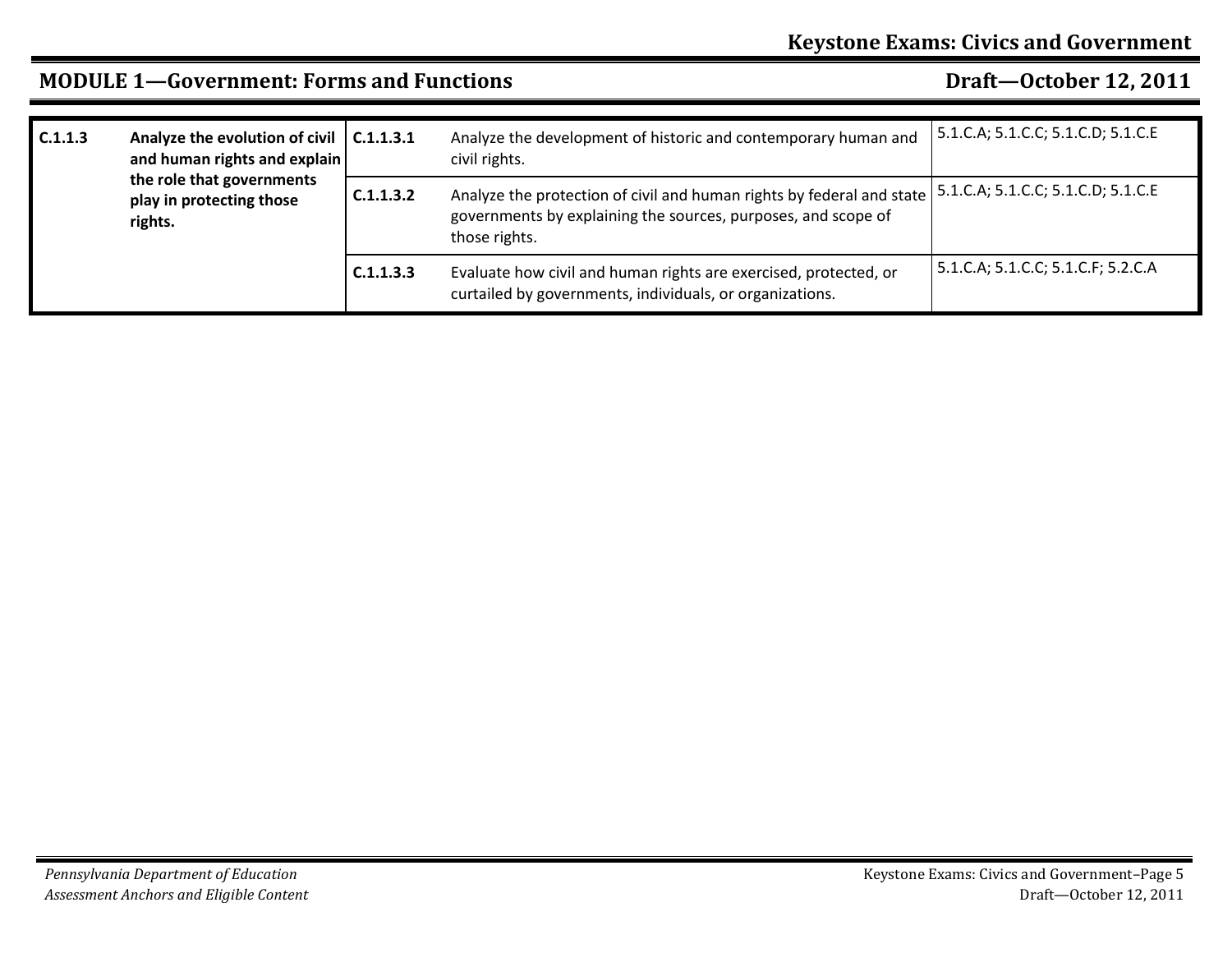| C.1.1.3 | Analyze the evolution of civil $ $ C.1.1.3.1<br>and human rights and explain<br>the role that governments<br>play in protecting those<br>rights. |           | Analyze the development of historic and contemporary human and<br>civil rights.                                                                         | 5.1.C.A; 5.1.C.C; 5.1.C.D; 5.1.C.E |
|---------|--------------------------------------------------------------------------------------------------------------------------------------------------|-----------|---------------------------------------------------------------------------------------------------------------------------------------------------------|------------------------------------|
|         |                                                                                                                                                  | C.1.1.3.2 | Analyze the protection of civil and human rights by federal and state<br>governments by explaining the sources, purposes, and scope of<br>those rights. | 5.1.C.A; 5.1.C.C; 5.1.C.D; 5.1.C.E |
|         |                                                                                                                                                  | C.1.1.3.3 | Evaluate how civil and human rights are exercised, protected, or<br>curtailed by governments, individuals, or organizations.                            | 5.1.C.A; 5.1.C.C; 5.1.C.F; 5.2.C.A |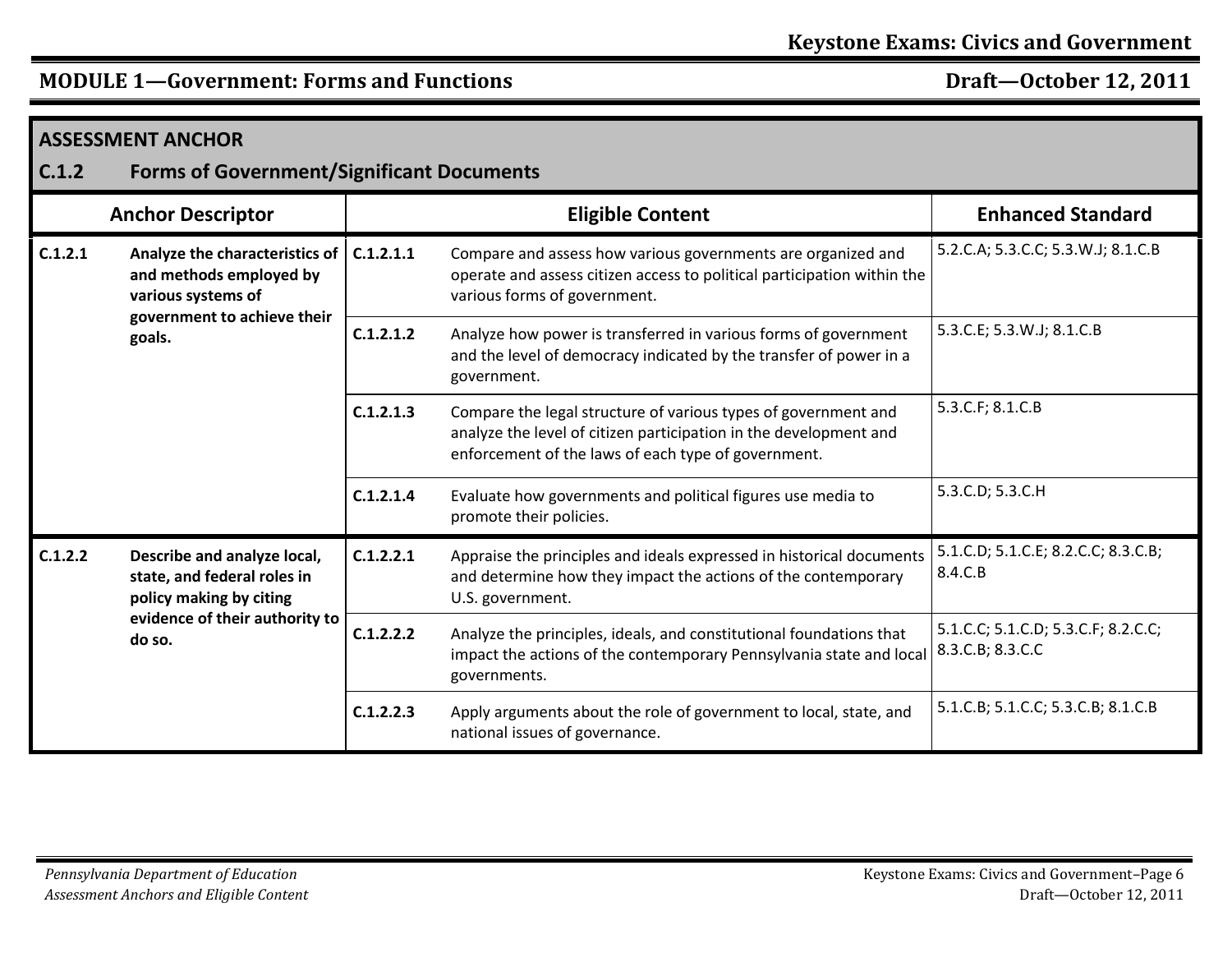| C.1.2   | <b>ASSESSMENT ANCHOR</b><br><b>Forms of Government/Significant Documents</b>                                                      |           |                                                                                                                                                                                            |                                                         |  |
|---------|-----------------------------------------------------------------------------------------------------------------------------------|-----------|--------------------------------------------------------------------------------------------------------------------------------------------------------------------------------------------|---------------------------------------------------------|--|
|         | <b>Anchor Descriptor</b>                                                                                                          |           | <b>Eligible Content</b>                                                                                                                                                                    | <b>Enhanced Standard</b>                                |  |
| C.1.2.1 | Analyze the characteristics of<br>and methods employed by<br>various systems of<br>government to achieve their<br>goals.          | C.1.2.1.1 | Compare and assess how various governments are organized and<br>operate and assess citizen access to political participation within the<br>various forms of government.                    | 5.2.C.A; 5.3.C.C; 5.3.W.J; 8.1.C.B                      |  |
|         |                                                                                                                                   | C.1.2.1.2 | Analyze how power is transferred in various forms of government<br>and the level of democracy indicated by the transfer of power in a<br>government.                                       | 5.3.C.E; 5.3.W.J; 8.1.C.B                               |  |
|         |                                                                                                                                   | C.1.2.1.3 | Compare the legal structure of various types of government and<br>analyze the level of citizen participation in the development and<br>enforcement of the laws of each type of government. | 5.3.C.F; 8.1.C.B                                        |  |
|         |                                                                                                                                   | C.1.2.1.4 | Evaluate how governments and political figures use media to<br>promote their policies.                                                                                                     | 5.3.C.D; 5.3.C.H                                        |  |
| C.1.2.2 | Describe and analyze local,<br>state, and federal roles in<br>policy making by citing<br>evidence of their authority to<br>do so. | C.1.2.2.1 | Appraise the principles and ideals expressed in historical documents<br>and determine how they impact the actions of the contemporary<br>U.S. government.                                  | 5.1.C.D; 5.1.C.E; 8.2.C.C; 8.3.C.B;<br>8.4.C.B          |  |
|         |                                                                                                                                   | C.1.2.2.2 | Analyze the principles, ideals, and constitutional foundations that<br>impact the actions of the contemporary Pennsylvania state and local<br>governments.                                 | 5.1.C.C; 5.1.C.D; 5.3.C.F; 8.2.C.C;<br>8.3.C.B; 8.3.C.C |  |
|         |                                                                                                                                   | C.1.2.2.3 | Apply arguments about the role of government to local, state, and<br>national issues of governance.                                                                                        | 5.1.C.B; 5.1.C.C; 5.3.C.B; 8.1.C.B                      |  |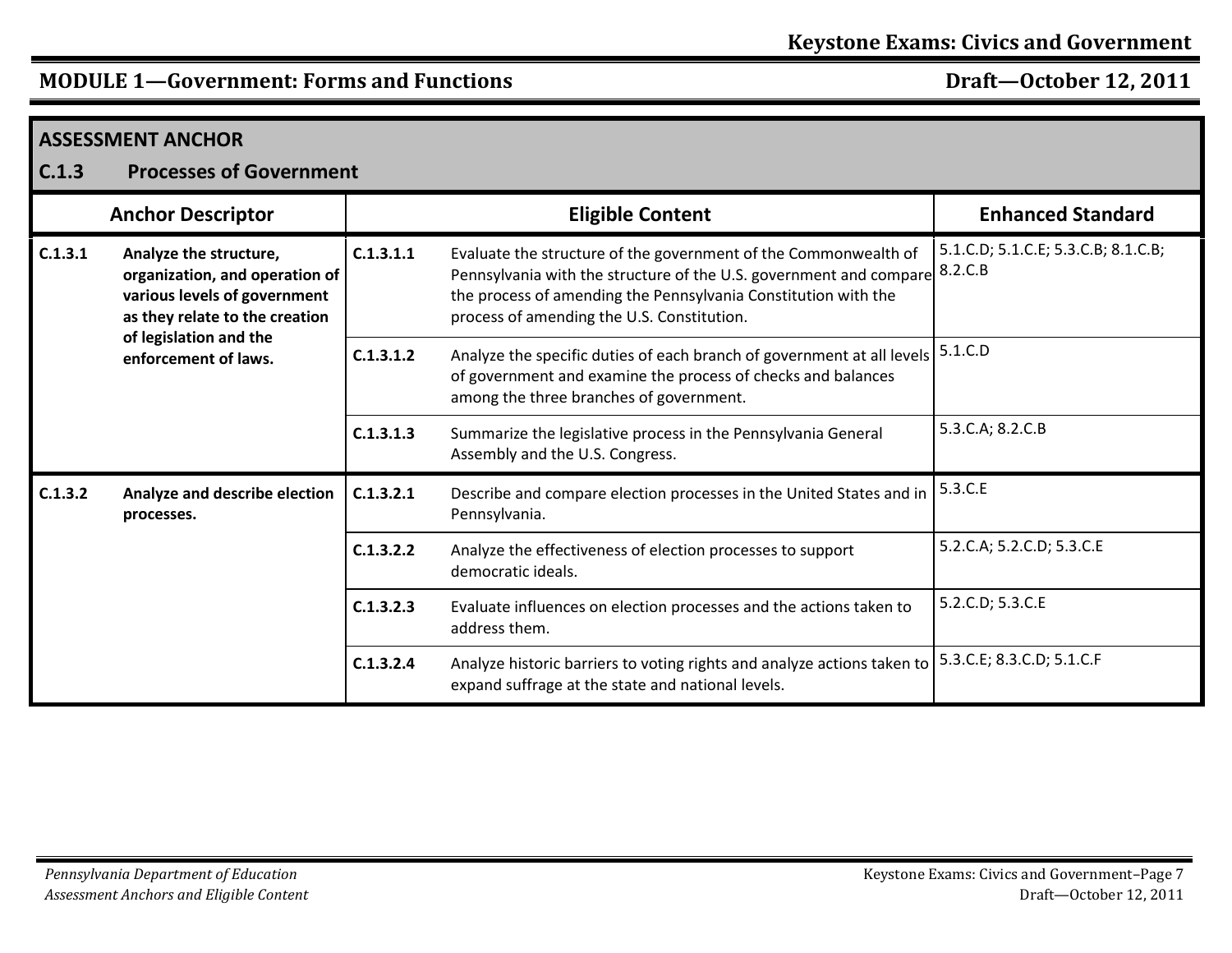| C.1.3   | <b>ASSESSMENT ANCHOR</b><br><b>Processes of Government</b>                                                                                                                   |           |                                                                                                                                                                                                                                                       |                                                |  |  |
|---------|------------------------------------------------------------------------------------------------------------------------------------------------------------------------------|-----------|-------------------------------------------------------------------------------------------------------------------------------------------------------------------------------------------------------------------------------------------------------|------------------------------------------------|--|--|
|         | <b>Anchor Descriptor</b>                                                                                                                                                     |           | <b>Eligible Content</b>                                                                                                                                                                                                                               | <b>Enhanced Standard</b>                       |  |  |
| C.1.3.1 | Analyze the structure,<br>organization, and operation of<br>various levels of government<br>as they relate to the creation<br>of legislation and the<br>enforcement of laws. | C.1.3.1.1 | Evaluate the structure of the government of the Commonwealth of<br>Pennsylvania with the structure of the U.S. government and compare<br>the process of amending the Pennsylvania Constitution with the<br>process of amending the U.S. Constitution. | 5.1.C.D; 5.1.C.E; 5.3.C.B; 8.1.C.B;<br>8.2.C.B |  |  |
|         |                                                                                                                                                                              | C.1.3.1.2 | Analyze the specific duties of each branch of government at all levels<br>of government and examine the process of checks and balances<br>among the three branches of government.                                                                     | 5.1.C.D                                        |  |  |
|         |                                                                                                                                                                              | C.1.3.1.3 | Summarize the legislative process in the Pennsylvania General<br>Assembly and the U.S. Congress.                                                                                                                                                      | 5.3.C.A; 8.2.C.B                               |  |  |
| C.1.3.2 | Analyze and describe election<br>processes.                                                                                                                                  | C.1.3.2.1 | Describe and compare election processes in the United States and in<br>Pennsylvania.                                                                                                                                                                  | 5.3.C.E                                        |  |  |
|         |                                                                                                                                                                              | C.1.3.2.2 | Analyze the effectiveness of election processes to support<br>democratic ideals.                                                                                                                                                                      | 5.2.C.A; 5.2.C.D; 5.3.C.E                      |  |  |
|         |                                                                                                                                                                              | C.1.3.2.3 | Evaluate influences on election processes and the actions taken to<br>address them.                                                                                                                                                                   | 5.2.C.D; 5.3.C.E                               |  |  |
|         |                                                                                                                                                                              | C.1.3.2.4 | Analyze historic barriers to voting rights and analyze actions taken to<br>expand suffrage at the state and national levels.                                                                                                                          | 5.3.C.E; 8.3.C.D; 5.1.C.F                      |  |  |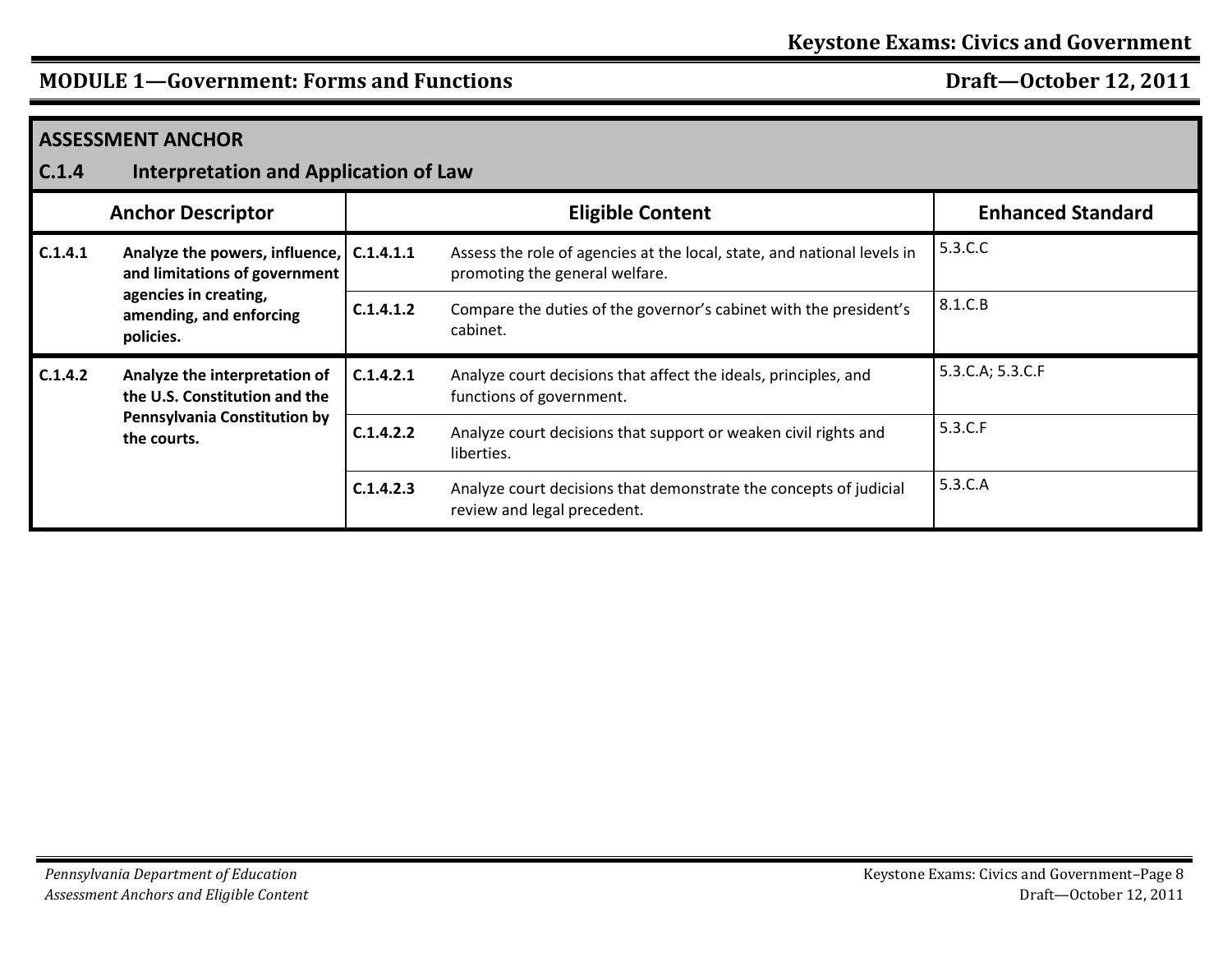| <b>ASSESSMENT ANCHOR</b><br>C.1.4<br><b>Interpretation and Application of Law</b> |                                                                                                               |           |                                                                                                           |                  |  |  |
|-----------------------------------------------------------------------------------|---------------------------------------------------------------------------------------------------------------|-----------|-----------------------------------------------------------------------------------------------------------|------------------|--|--|
|                                                                                   | <b>Enhanced Standard</b><br><b>Anchor Descriptor</b><br><b>Eligible Content</b>                               |           |                                                                                                           |                  |  |  |
| C.1.4.1                                                                           | Analyze the powers, influence,   C.1.4.1.1<br>and limitations of government                                   |           | Assess the role of agencies at the local, state, and national levels in<br>promoting the general welfare. | 5.3.C.C          |  |  |
|                                                                                   | agencies in creating,<br>amending, and enforcing<br>policies.                                                 | C.1.4.1.2 | Compare the duties of the governor's cabinet with the president's<br>cabinet.                             | 8.1.C.B          |  |  |
| C.1.4.2                                                                           | Analyze the interpretation of<br>the U.S. Constitution and the<br>Pennsylvania Constitution by<br>the courts. | C.1.4.2.1 | Analyze court decisions that affect the ideals, principles, and<br>functions of government.               | 5.3.C.A; 5.3.C.F |  |  |
|                                                                                   |                                                                                                               | C.1.4.2.2 | Analyze court decisions that support or weaken civil rights and<br>liberties.                             | 5.3.C.F          |  |  |
|                                                                                   |                                                                                                               | C.1.4.2.3 | Analyze court decisions that demonstrate the concepts of judicial<br>review and legal precedent.          | 5.3.C.A          |  |  |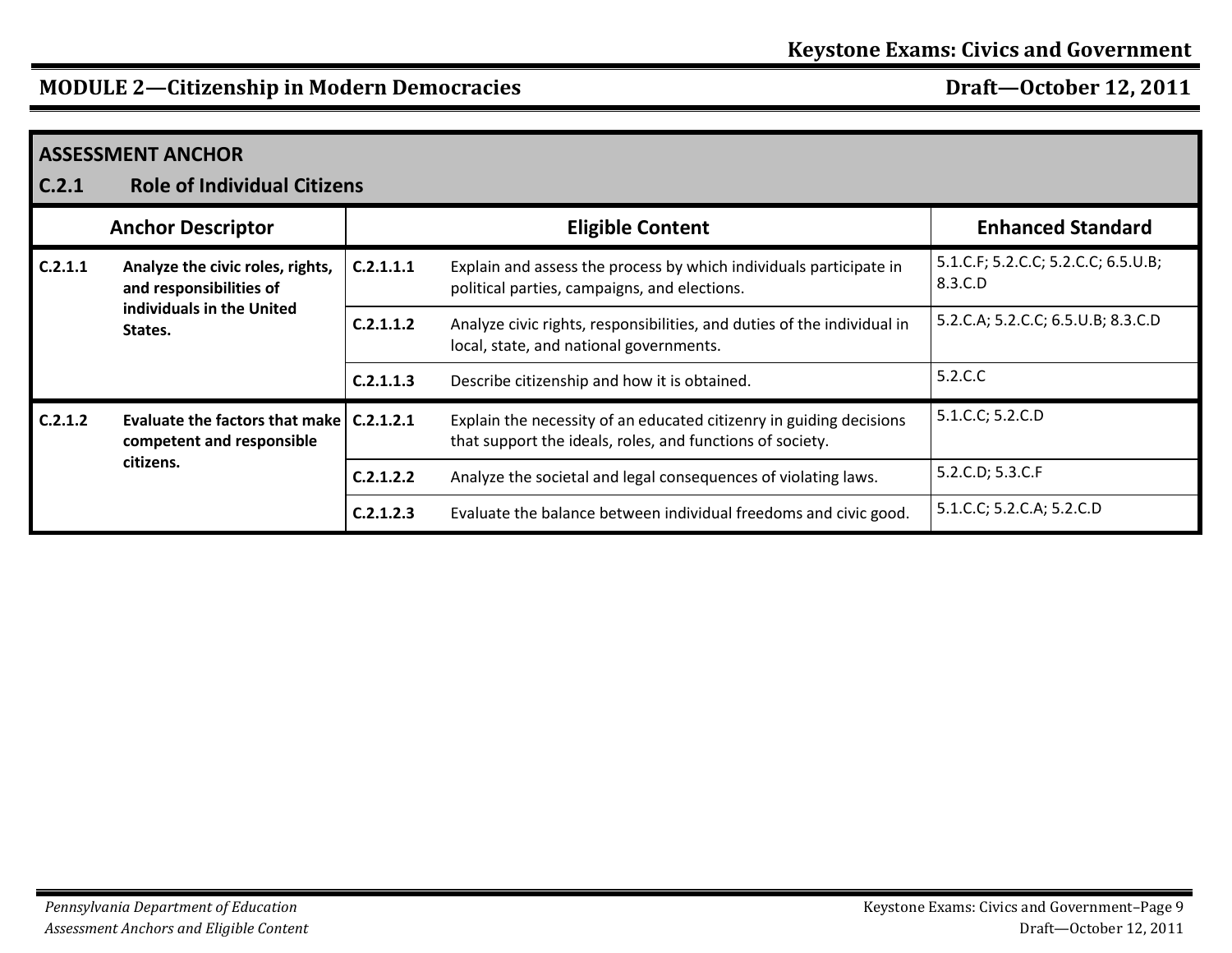| <b>ASSESSMENT ANCHOR</b><br><b>Role of Individual Citizens</b><br>C.2.1 |                                                                                        |           |                                                                                                                                  |                                                |  |  |
|-------------------------------------------------------------------------|----------------------------------------------------------------------------------------|-----------|----------------------------------------------------------------------------------------------------------------------------------|------------------------------------------------|--|--|
|                                                                         | <b>Anchor Descriptor</b>                                                               |           | <b>Eligible Content</b>                                                                                                          | <b>Enhanced Standard</b>                       |  |  |
| C.2.1.1                                                                 | Analyze the civic roles, rights,<br>and responsibilities of                            | C.2.1.1.1 | Explain and assess the process by which individuals participate in<br>political parties, campaigns, and elections.               | 5.1.C.F; 5.2.C.C; 5.2.C.C; 6.5.U.B;<br>8.3.C.D |  |  |
|                                                                         | individuals in the United<br>States.                                                   | C.2.1.1.2 | Analyze civic rights, responsibilities, and duties of the individual in<br>local, state, and national governments.               | 5.2.C.A; 5.2.C.C; 6.5.U.B; 8.3.C.D             |  |  |
|                                                                         |                                                                                        | C.2.1.1.3 | Describe citizenship and how it is obtained.                                                                                     | 5.2.C.C                                        |  |  |
| C.2.1.2                                                                 | Evaluate the factors that make $ $ C.2.1.2.1<br>competent and responsible<br>citizens. |           | Explain the necessity of an educated citizenry in guiding decisions<br>that support the ideals, roles, and functions of society. | 5.1.C.C; 5.2.C.D                               |  |  |
|                                                                         |                                                                                        | C.2.1.2.2 | Analyze the societal and legal consequences of violating laws.                                                                   | 5.2.C.D; 5.3.C.F                               |  |  |
|                                                                         |                                                                                        | C.2.1.2.3 | Evaluate the balance between individual freedoms and civic good.                                                                 | 5.1.C.C; 5.2.C.A; 5.2.C.D                      |  |  |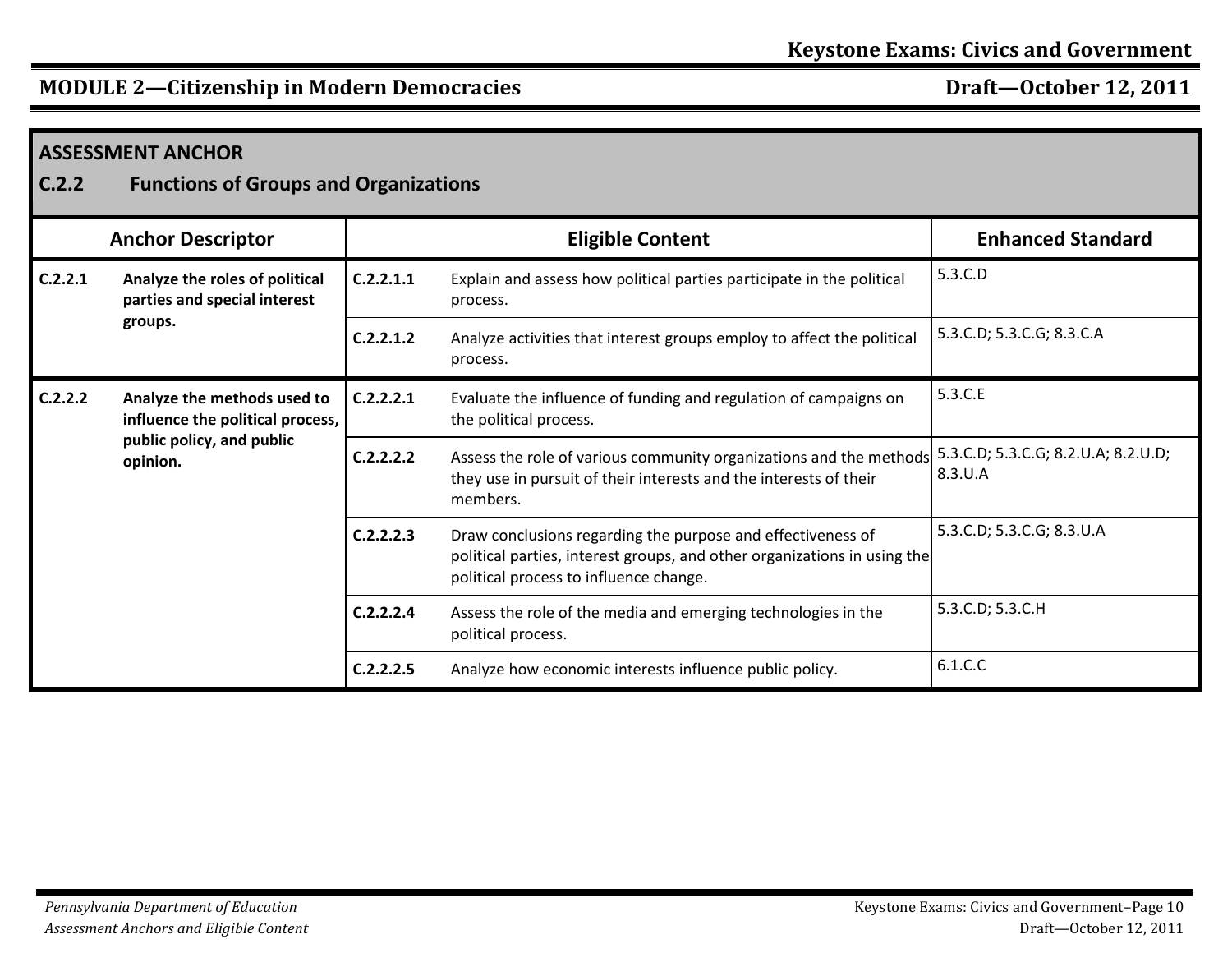| <b>ASSESSMENT ANCHOR</b><br>C.2.2<br><b>Functions of Groups and Organizations</b> |                                                                                                          |           |                                                                                                                                                                                   |                                                |  |  |
|-----------------------------------------------------------------------------------|----------------------------------------------------------------------------------------------------------|-----------|-----------------------------------------------------------------------------------------------------------------------------------------------------------------------------------|------------------------------------------------|--|--|
|                                                                                   | <b>Anchor Descriptor</b>                                                                                 |           | <b>Eligible Content</b>                                                                                                                                                           | <b>Enhanced Standard</b>                       |  |  |
| C.2.2.1                                                                           | Analyze the roles of political<br>parties and special interest                                           | C.2.2.1.1 | Explain and assess how political parties participate in the political<br>process.                                                                                                 | 5.3.C.D                                        |  |  |
|                                                                                   | groups.                                                                                                  | C.2.2.1.2 | Analyze activities that interest groups employ to affect the political<br>process.                                                                                                | 5.3.C.D; 5.3.C.G; 8.3.C.A                      |  |  |
| C.2.2.2                                                                           | Analyze the methods used to<br>influence the political process,<br>public policy, and public<br>opinion. | C.2.2.2.1 | Evaluate the influence of funding and regulation of campaigns on<br>the political process.                                                                                        | 5.3.C.E                                        |  |  |
|                                                                                   |                                                                                                          | C.2.2.2.2 | Assess the role of various community organizations and the methods<br>they use in pursuit of their interests and the interests of their<br>members.                               | 5.3.C.D; 5.3.C.G; 8.2.U.A; 8.2.U.D;<br>8.3.U.A |  |  |
|                                                                                   |                                                                                                          | C.2.2.2.3 | Draw conclusions regarding the purpose and effectiveness of<br>political parties, interest groups, and other organizations in using the<br>political process to influence change. | 5.3.C.D; 5.3.C.G; 8.3.U.A                      |  |  |
|                                                                                   |                                                                                                          | C.2.2.2.4 | Assess the role of the media and emerging technologies in the<br>political process.                                                                                               | 5.3.C.D; 5.3.C.H                               |  |  |
|                                                                                   |                                                                                                          | C.2.2.2.5 | Analyze how economic interests influence public policy.                                                                                                                           | 6.1.C.C                                        |  |  |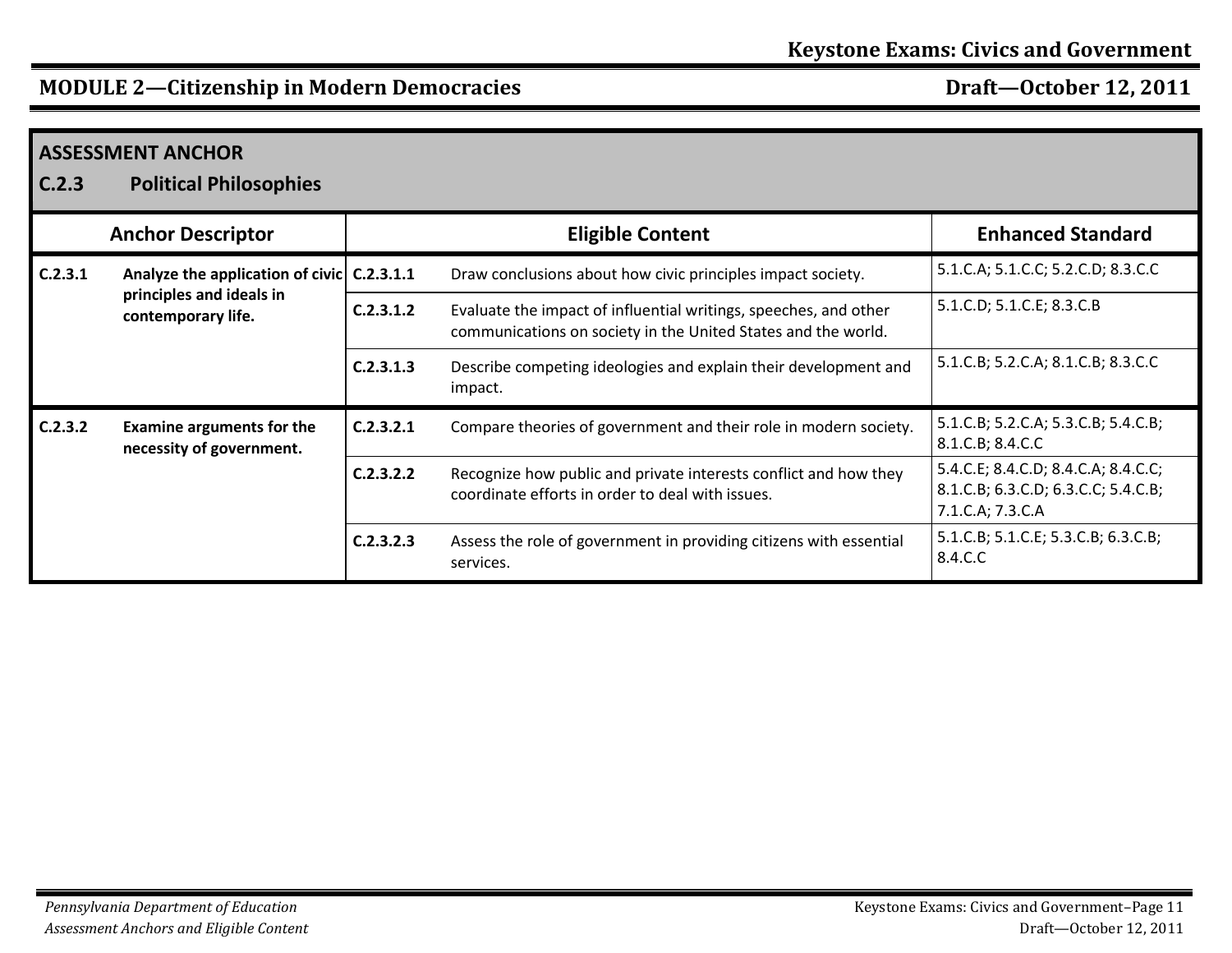| C.2.3   | <b>ASSESSMENT ANCHOR</b><br><b>Political Philosophies</b>    |           |                                                                                                                                   |                                                                                                |
|---------|--------------------------------------------------------------|-----------|-----------------------------------------------------------------------------------------------------------------------------------|------------------------------------------------------------------------------------------------|
|         | <b>Anchor Descriptor</b>                                     |           | <b>Eligible Content</b>                                                                                                           | <b>Enhanced Standard</b>                                                                       |
| C.2.3.1 | Analyze the application of civic C.2.3.1.1                   |           | Draw conclusions about how civic principles impact society.                                                                       | 5.1.C.A; 5.1.C.C; 5.2.C.D; 8.3.C.C                                                             |
|         | principles and ideals in<br>contemporary life.               | C.2.3.1.2 | Evaluate the impact of influential writings, speeches, and other<br>communications on society in the United States and the world. | 5.1.C.D; 5.1.C.E; 8.3.C.B                                                                      |
|         |                                                              | C.2.3.1.3 | Describe competing ideologies and explain their development and<br>impact.                                                        | 5.1.C.B; 5.2.C.A; 8.1.C.B; 8.3.C.C                                                             |
| C.2.3.2 | <b>Examine arguments for the</b><br>necessity of government. | C.2.3.2.1 | Compare theories of government and their role in modern society.                                                                  | 5.1.C.B; 5.2.C.A; 5.3.C.B; 5.4.C.B;<br>8.1.C.B; 8.4.C.C                                        |
|         |                                                              | C.2.3.2.2 | Recognize how public and private interests conflict and how they<br>coordinate efforts in order to deal with issues.              | 5.4.C.E; 8.4.C.D; 8.4.C.A; 8.4.C.C;<br>8.1.C.B; 6.3.C.D; 6.3.C.C; 5.4.C.B;<br>7.1.C.A; 7.3.C.A |
|         |                                                              | C.2.3.2.3 | Assess the role of government in providing citizens with essential<br>services.                                                   | 5.1.C.B; 5.1.C.E; 5.3.C.B; 6.3.C.B;<br>8.4.C.C                                                 |